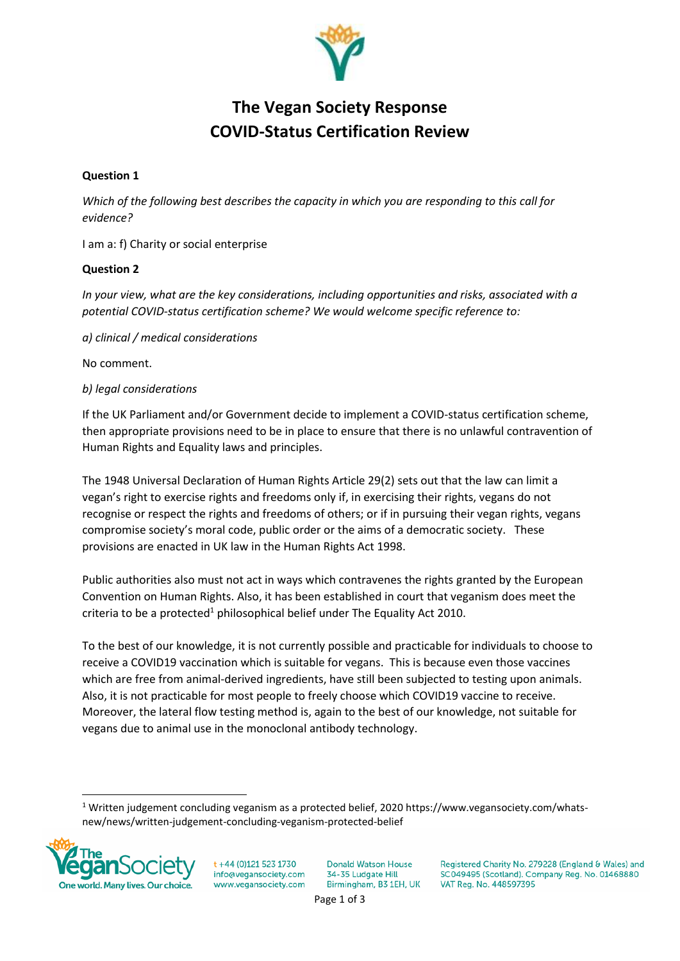

# **The Vegan Society Response COVID-Status Certification Review**

# **Question 1**

*Which of the following best describes the capacity in which you are responding to this call for evidence?*

I am a: f) Charity or social enterprise

## **Question 2**

*In your view, what are the key considerations, including opportunities and risks, associated with a potential COVID-status certification scheme? We would welcome specific reference to:*

*a) clinical / medical considerations*

No comment.

## *b) legal considerations*

If the UK Parliament and/or Government decide to implement a COVID-status certification scheme, then appropriate provisions need to be in place to ensure that there is no unlawful contravention of Human Rights and Equality laws and principles.

The 1948 Universal Declaration of Human Rights Article 29(2) sets out that the law can limit a vegan's right to exercise rights and freedoms only if, in exercising their rights, vegans do not recognise or respect the rights and freedoms of others; or if in pursuing their vegan rights, vegans compromise society's moral code, public order or the aims of a democratic society. These provisions are enacted in UK law in the Human Rights Act 1998.

Public authorities also must not act in ways which contravenes the rights granted by the European Convention on Human Rights. Also, it has been established in court that veganism does meet the criteria to be a protected<sup>1</sup> philosophical belief under The Equality Act 2010.

To the best of our knowledge, it is not currently possible and practicable for individuals to choose to receive a COVID19 vaccination which is suitable for vegans. This is because even those vaccines which are free from animal-derived ingredients, have still been subjected to testing upon animals. Also, it is not practicable for most people to freely choose which COVID19 vaccine to receive. Moreover, the lateral flow testing method is, again to the best of our knowledge, not suitable for vegans due to animal use in the monoclonal antibody technology.

<sup>1</sup> Written judgement concluding veganism as a protected belief, 2020 https://www.vegansociety.com/whatsnew/news/written-judgement-concluding-veganism-protected-belief



+44 (0)121 523 1730 info@vegansociety.com www.vegansociety.com **Donald Watson House** 34-35 Ludgate Hill Birmingham, B3 1EH, UK

Registered Charity No. 279228 (England & Wales) and SC049495 (Scotland). Company Reg. No. 01468880 VAT Reg. No. 448597395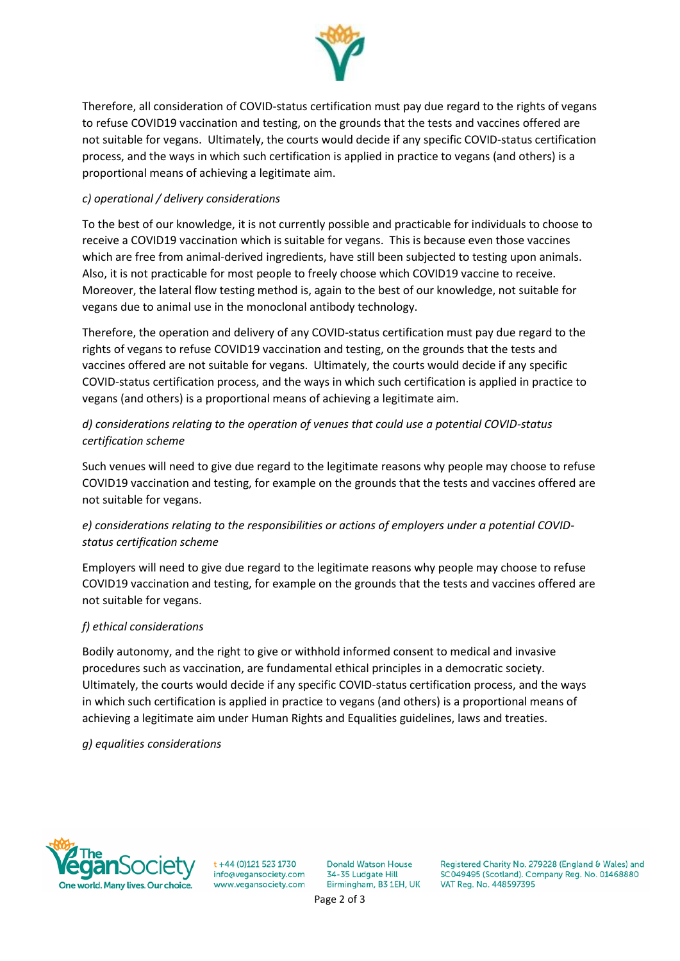

Therefore, all consideration of COVID-status certification must pay due regard to the rights of vegans to refuse COVID19 vaccination and testing, on the grounds that the tests and vaccines offered are not suitable for vegans. Ultimately, the courts would decide if any specific COVID-status certification process, and the ways in which such certification is applied in practice to vegans (and others) is a proportional means of achieving a legitimate aim.

# *c) operational / delivery considerations*

To the best of our knowledge, it is not currently possible and practicable for individuals to choose to receive a COVID19 vaccination which is suitable for vegans. This is because even those vaccines which are free from animal-derived ingredients, have still been subjected to testing upon animals. Also, it is not practicable for most people to freely choose which COVID19 vaccine to receive. Moreover, the lateral flow testing method is, again to the best of our knowledge, not suitable for vegans due to animal use in the monoclonal antibody technology.

Therefore, the operation and delivery of any COVID-status certification must pay due regard to the rights of vegans to refuse COVID19 vaccination and testing, on the grounds that the tests and vaccines offered are not suitable for vegans. Ultimately, the courts would decide if any specific COVID-status certification process, and the ways in which such certification is applied in practice to vegans (and others) is a proportional means of achieving a legitimate aim.

# *d) considerations relating to the operation of venues that could use a potential COVID-status certification scheme*

Such venues will need to give due regard to the legitimate reasons why people may choose to refuse COVID19 vaccination and testing, for example on the grounds that the tests and vaccines offered are not suitable for vegans.

# *e) considerations relating to the responsibilities or actions of employers under a potential COVIDstatus certification scheme*

Employers will need to give due regard to the legitimate reasons why people may choose to refuse COVID19 vaccination and testing, for example on the grounds that the tests and vaccines offered are not suitable for vegans.

#### *f) ethical considerations*

Bodily autonomy, and the right to give or withhold informed consent to medical and invasive procedures such as vaccination, are fundamental ethical principles in a democratic society. Ultimately, the courts would decide if any specific COVID-status certification process, and the ways in which such certification is applied in practice to vegans (and others) is a proportional means of achieving a legitimate aim under Human Rights and Equalities guidelines, laws and treaties.

#### *g) equalities considerations*



+44 (0)121 523 1730 info@vegansociety.com www.vegansociety.com **Donald Watson House** 34-35 Ludgate Hill Birmingham, B3 1EH, UK

Registered Charity No. 279228 (England & Wales) and SC049495 (Scotland). Company Reg. No. 01468880 VAT Reg. No. 448597395